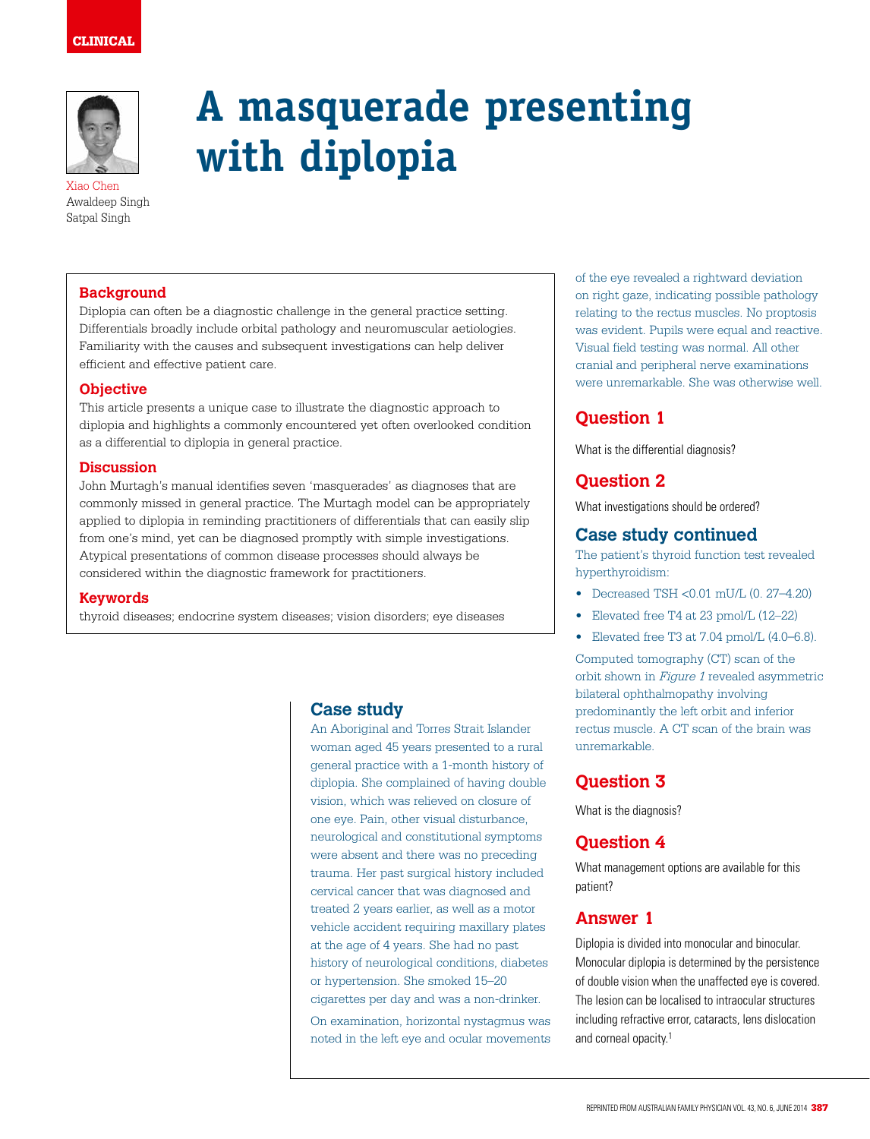# CLINICAL



Xiao Chen Awaldeep Singh Satpal Singh

# **A masquerade presenting with diplopia**

### **Background**

Diplopia can often be a diagnostic challenge in the general practice setting. Differentials broadly include orbital pathology and neuromuscular aetiologies. Familiarity with the causes and subsequent investigations can help deliver efficient and effective patient care.

#### **Objective**

This article presents a unique case to illustrate the diagnostic approach to diplopia and highlights a commonly encountered yet often overlooked condition as a differential to diplopia in general practice.

#### **Discussion**

John Murtagh's manual identifies seven 'masquerades' as diagnoses that are commonly missed in general practice. The Murtagh model can be appropriately applied to diplopia in reminding practitioners of differentials that can easily slip from one's mind, yet can be diagnosed promptly with simple investigations. Atypical presentations of common disease processes should always be considered within the diagnostic framework for practitioners.

#### **Keywords**

thyroid diseases; endocrine system diseases; vision disorders; eye diseases

# **Case study**

An Aboriginal and Torres Strait Islander woman aged 45 years presented to a rural general practice with a 1-month history of diplopia. She complained of having double vision, which was relieved on closure of one eye. Pain, other visual disturbance, neurological and constitutional symptoms were absent and there was no preceding trauma. Her past surgical history included cervical cancer that was diagnosed and treated 2 years earlier, as well as a motor vehicle accident requiring maxillary plates at the age of 4 years. She had no past history of neurological conditions, diabetes or hypertension. She smoked 15–20 cigarettes per day and was a non-drinker. On examination, horizontal nystagmus was noted in the left eye and ocular movements of the eye revealed a rightward deviation on right gaze, indicating possible pathology relating to the rectus muscles. No proptosis was evident. Pupils were equal and reactive. Visual field testing was normal. All other cranial and peripheral nerve examinations were unremarkable. She was otherwise well.

# **Question 1**

What is the differential diagnosis?

# **Question 2**

What investigations should be ordered?

## **Case study continued**

The patient's thyroid function test revealed hyperthyroidism:

- Decreased TSH <0.01 mU/L (0. 27–4.20)
- Elevated free T4 at 23 pmol/L (12–22)
- Elevated free T3 at 7.04 pmol/L (4.0–6.8).

Computed tomography (CT) scan of the orbit shown in Figure 1 revealed asymmetric bilateral ophthalmopathy involving predominantly the left orbit and inferior rectus muscle. A CT scan of the brain was unremarkable.

# **Question 3**

What is the diagnosis?

# **Question 4**

What management options are available for this patient?

# **Answer 1**

Diplopia is divided into monocular and binocular. Monocular diplopia is determined by the persistence of double vision when the unaffected eye is covered. The lesion can be localised to intraocular structures including refractive error, cataracts, lens dislocation and corneal opacity.1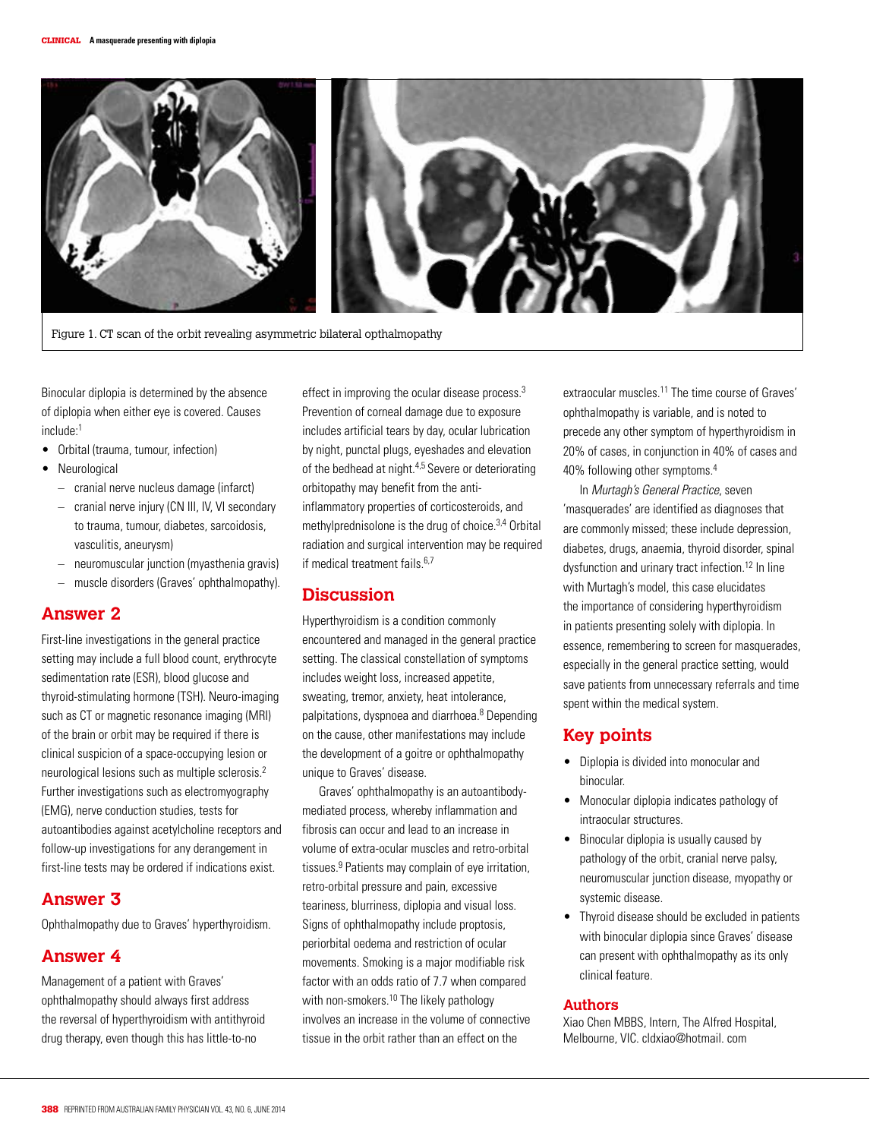

Figure 1. CT scan of the orbit revealing asymmetric bilateral opthalmopathy

Binocular diplopia is determined by the absence of diplopia when either eye is covered. Causes include:1

- Orbital (trauma, tumour, infection)
- **Neurological** 
	- cranial nerve nucleus damage (infarct)
	- cranial nerve injury (CN III, IV, VI secondary to trauma, tumour, diabetes, sarcoidosis, vasculitis, aneurysm)
	- neuromuscular junction (myasthenia gravis)
	- muscle disorders (Graves' ophthalmopathy).

### **Answer 2**

First-line investigations in the general practice setting may include a full blood count, erythrocyte sedimentation rate (ESR), blood glucose and thyroid-stimulating hormone (TSH). Neuro-imaging such as CT or magnetic resonance imaging (MRI) of the brain or orbit may be required if there is clinical suspicion of a space-occupying lesion or neurological lesions such as multiple sclerosis.2 Further investigations such as electromyography (EMG), nerve conduction studies, tests for autoantibodies against acetylcholine receptors and follow-up investigations for any derangement in first-line tests may be ordered if indications exist.

## **Answer 3**

Ophthalmopathy due to Graves' hyperthyroidism.

### **Answer 4**

Management of a patient with Graves' ophthalmopathy should always first address the reversal of hyperthyroidism with antithyroid drug therapy, even though this has little-to-no

effect in improving the ocular disease process.3 Prevention of corneal damage due to exposure includes artificial tears by day, ocular lubrication by night, punctal plugs, eyeshades and elevation of the bedhead at night.<sup>4,5</sup> Severe or deteriorating orbitopathy may benefit from the antiinflammatory properties of corticosteroids, and methylprednisolone is the drug of choice.3,4 Orbital radiation and surgical intervention may be required if medical treatment fails.<sup>6,7</sup>

### **Discussion**

Hyperthyroidism is a condition commonly encountered and managed in the general practice setting. The classical constellation of symptoms includes weight loss, increased appetite, sweating, tremor, anxiety, heat intolerance, palpitations, dyspnoea and diarrhoea.<sup>8</sup> Depending on the cause, other manifestations may include the development of a goitre or ophthalmopathy unique to Graves' disease.

Graves' ophthalmopathy is an autoantibodymediated process, whereby inflammation and fibrosis can occur and lead to an increase in volume of extra-ocular muscles and retro-orbital tissues.<sup>9</sup> Patients may complain of eye irritation, retro-orbital pressure and pain, excessive teariness, blurriness, diplopia and visual loss. Signs of ophthalmopathy include proptosis, periorbital oedema and restriction of ocular movements. Smoking is a major modifiable risk factor with an odds ratio of 7.7 when compared with non-smokers.<sup>10</sup> The likely pathology involves an increase in the volume of connective tissue in the orbit rather than an effect on the

extraocular muscles.11 The time course of Graves' ophthalmopathy is variable, and is noted to precede any other symptom of hyperthyroidism in 20% of cases, in conjunction in 40% of cases and 40% following other symptoms.4

In Murtagh's General Practice, seven 'masquerades' are identified as diagnoses that are commonly missed; these include depression, diabetes, drugs, anaemia, thyroid disorder, spinal dysfunction and urinary tract infection.<sup>12</sup> In line with Murtagh's model, this case elucidates the importance of considering hyperthyroidism in patients presenting solely with diplopia. In essence, remembering to screen for masquerades, especially in the general practice setting, would save patients from unnecessary referrals and time spent within the medical system.

# **Key points**

- Diplopia is divided into monocular and binocular.
- Monocular diplopia indicates pathology of intraocular structures.
- Binocular diplopia is usually caused by pathology of the orbit, cranial nerve palsy, neuromuscular junction disease, myopathy or systemic disease.
- Thyroid disease should be excluded in patients with binocular diplopia since Graves' disease can present with ophthalmopathy as its only clinical feature.

#### **Authors**

Xiao Chen MBBS, Intern, The Alfred Hospital, Melbourne, VIC. cldxiao@hotmail. com